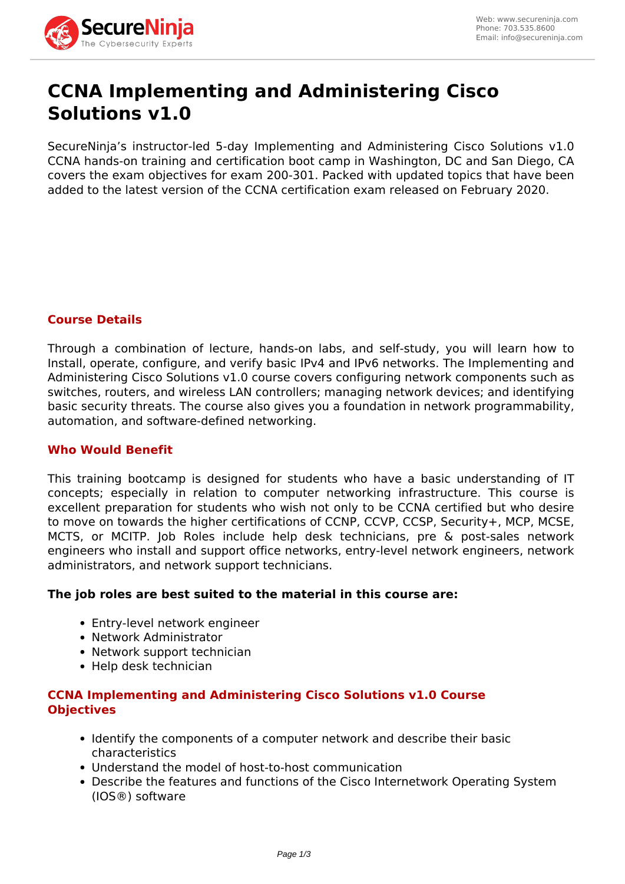

# **CCNA Implementing and Administering Cisco Solutions v1.0**

SecureNinja's instructor-led 5-day Implementing and Administering Cisco Solutions v1.0 CCNA hands-on training and certification boot camp in Washington, DC and San Diego, CA covers the exam objectives for exam 200-301. Packed with updated topics that have been added to the latest version of the CCNA certification exam released on February 2020.

# **Course Details**

Through a combination of lecture, hands-on labs, and self-study, you will learn how to Install, operate, configure, and verify basic IPv4 and IPv6 networks. The Implementing and Administering Cisco Solutions v1.0 course covers configuring network components such as switches, routers, and wireless LAN controllers; managing network devices; and identifying basic security threats. The course also gives you a foundation in network programmability, automation, and software-defined networking.

# **Who Would Benefit**

This training bootcamp is designed for students who have a basic understanding of IT concepts; especially in relation to computer networking infrastructure. This course is excellent preparation for students who wish not only to be CCNA certified but who desire to move on towards the higher certifications of CCNP, CCVP, CCSP, Security+, MCP, MCSE, MCTS, or MCITP. Job Roles include help desk technicians, pre & post-sales network engineers who install and support office networks, entry-level network engineers, network administrators, and network support technicians.

# **The job roles are best suited to the material in this course are:**

- Entry-level network engineer
- Network Administrator
- Network support technician
- Help desk technician

# **CCNA Implementing and Administering Cisco Solutions v1.0 Course Objectives**

- Identify the components of a computer network and describe their basic characteristics
- Understand the model of host-to-host communication
- Describe the features and functions of the Cisco Internetwork Operating System (IOS®) software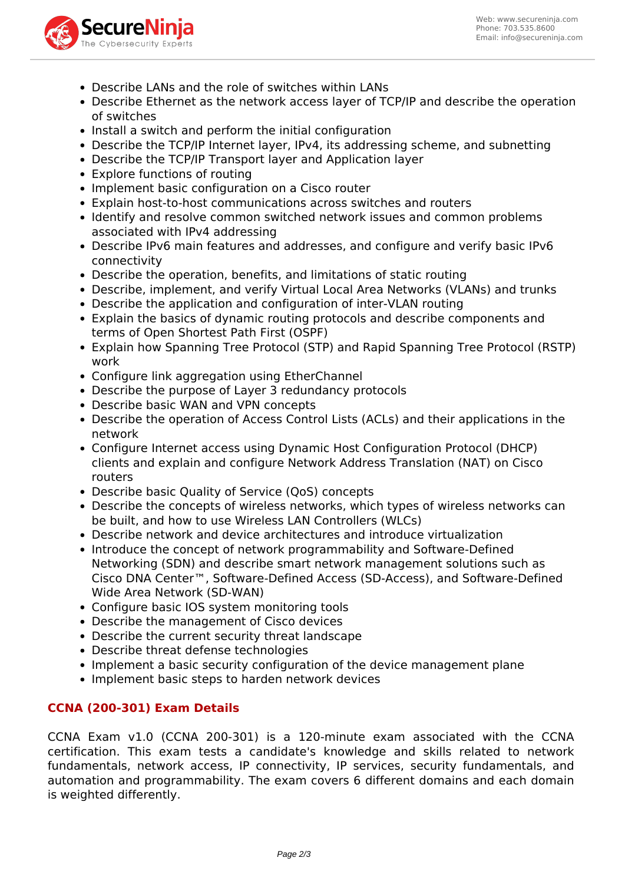

- Describe LANs and the role of switches within LANs
- Describe Ethernet as the network access layer of TCP/IP and describe the operation of switches
- Install a switch and perform the initial configuration
- Describe the TCP/IP Internet layer, IPv4, its addressing scheme, and subnetting
- Describe the TCP/IP Transport layer and Application layer
- Explore functions of routing
- Implement basic configuration on a Cisco router
- Explain host-to-host communications across switches and routers
- Identify and resolve common switched network issues and common problems associated with IPv4 addressing
- Describe IPv6 main features and addresses, and configure and verify basic IPv6 connectivity
- Describe the operation, benefits, and limitations of static routing
- Describe, implement, and verify Virtual Local Area Networks (VLANs) and trunks
- Describe the application and configuration of inter-VLAN routing
- Explain the basics of dynamic routing protocols and describe components and terms of Open Shortest Path First (OSPF)
- Explain how Spanning Tree Protocol (STP) and Rapid Spanning Tree Protocol (RSTP) work
- Configure link aggregation using EtherChannel
- Describe the purpose of Layer 3 redundancy protocols
- Describe basic WAN and VPN concepts
- Describe the operation of Access Control Lists (ACLs) and their applications in the network
- Configure Internet access using Dynamic Host Configuration Protocol (DHCP) clients and explain and configure Network Address Translation (NAT) on Cisco routers
- Describe basic Quality of Service (QoS) concepts
- Describe the concepts of wireless networks, which types of wireless networks can be built, and how to use Wireless LAN Controllers (WLCs)
- Describe network and device architectures and introduce virtualization
- Introduce the concept of network programmability and Software-Defined Networking (SDN) and describe smart network management solutions such as Cisco DNA Center™, Software-Defined Access (SD-Access), and Software-Defined Wide Area Network (SD-WAN)
- Configure basic IOS system monitoring tools
- Describe the management of Cisco devices
- Describe the current security threat landscape
- Describe threat defense technologies
- Implement a basic security configuration of the device management plane
- Implement basic steps to harden network devices

# **CCNA (200-301) Exam Details**

CCNA Exam v1.0 (CCNA 200-301) is a 120-minute exam associated with the CCNA certification. This exam tests a candidate's knowledge and skills related to network fundamentals, network access, IP connectivity, IP services, security fundamentals, and automation and programmability. The exam covers 6 different domains and each domain is weighted differently.